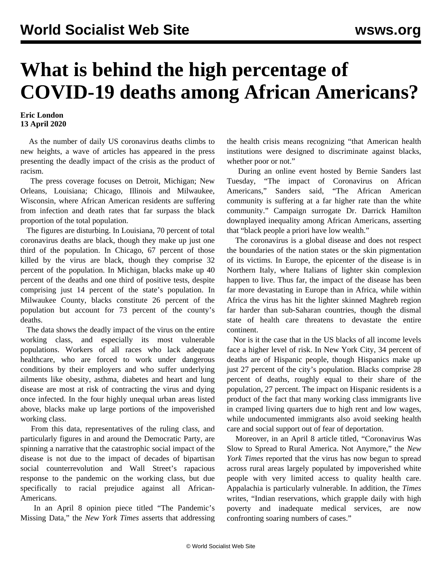## **What is behind the high percentage of COVID-19 deaths among African Americans?**

## **Eric London 13 April 2020**

 As the number of daily US coronavirus deaths climbs to new heights, a wave of articles has appeared in the press presenting the deadly impact of the crisis as the product of racism.

 The press coverage focuses on Detroit, Michigan; New Orleans, Louisiana; Chicago, Illinois and Milwaukee, Wisconsin, where African American residents are suffering from infection and death rates that far surpass the black proportion of the total population.

 The figures are disturbing. In Louisiana, 70 percent of total coronavirus deaths are black, though they make up just one third of the population. In Chicago, 67 percent of those killed by the virus are black, though they comprise 32 percent of the population. In Michigan, blacks make up 40 percent of the deaths and one third of positive tests, despite comprising just 14 percent of the state's population. In Milwaukee County, blacks constitute 26 percent of the population but account for 73 percent of the county's deaths.

 The data shows the deadly impact of the virus on the entire working class, and especially its most vulnerable populations. Workers of all races who lack adequate healthcare, who are forced to work under dangerous conditions by their employers and who suffer underlying ailments like obesity, asthma, diabetes and heart and lung disease are most at risk of contracting the virus and dying once infected. In the four highly unequal urban areas listed above, blacks make up large portions of the impoverished working class.

 From this data, representatives of the ruling class, and particularly figures in and around the Democratic Party, are spinning a narrative that the catastrophic social impact of the disease is not due to the impact of decades of bipartisan social counterrevolution and Wall Street's rapacious response to the pandemic on the working class, but due specifically to racial prejudice against all African-Americans.

 In an April 8 opinion piece titled "The Pandemic's Missing Data," the *New York Times* asserts that addressing the health crisis means recognizing "that American health institutions were designed to discriminate against blacks, whether poor or not."

 During an online event hosted by Bernie Sanders last Tuesday, "The impact of Coronavirus on African Americans," Sanders said, "The African American community is suffering at a far higher rate than the white community." Campaign surrogate Dr. Darrick Hamilton downplayed inequality among African Americans, asserting that "black people a priori have low wealth."

 The coronavirus is a global disease and does not respect the boundaries of the nation states or the skin pigmentation of its victims. In Europe, the epicenter of the disease is in Northern Italy, where Italians of lighter skin complexion happen to live. Thus far, the impact of the disease has been far more devastating in Europe than in Africa, while within Africa the virus has hit the lighter skinned Maghreb region far harder than sub-Saharan countries, though the dismal state of health care threatens to devastate the entire continent.

 Nor is it the case that in the US blacks of all income levels face a higher level of risk. In New York City, 34 percent of deaths are of Hispanic people, though Hispanics make up just 27 percent of the city's population. Blacks comprise 28 percent of deaths, roughly equal to their share of the population, 27 percent. The impact on Hispanic residents is a product of the fact that many working class immigrants live in cramped living quarters due to high rent and low wages, while undocumented immigrants also avoid seeking health care and social support out of fear of deportation.

 Moreover, in an April 8 article titled, "Coronavirus Was Slow to Spread to Rural America. Not Anymore," the *New York Times* reported that the virus has now begun to spread across rural areas largely populated by impoverished white people with very limited access to quality health care. Appalachia is particularly vulnerable. In addition, the *Times* writes, "Indian reservations, which grapple daily with high poverty and inadequate medical services, are now confronting soaring numbers of cases."